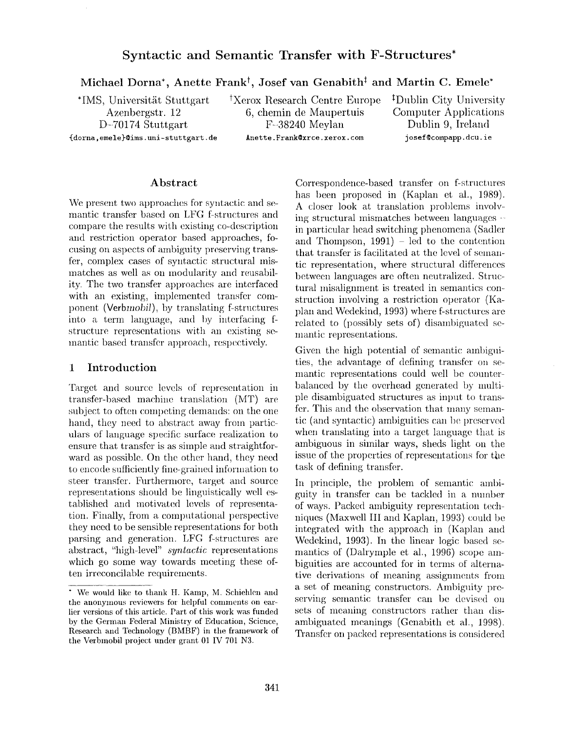# **Syntactic and Semantic Transfer with F-Structures\***

Michael Dorna<sup>\*</sup>, Anette Frank<sup>†</sup>, Josef van Genabith<sup>‡</sup> and Martin C. Emele<sup>\*</sup>

<sup>\*</sup>IMS, Universität Stuttgart <sup>†</sup> Xerox Research Centre Europe <sup>†</sup> Dublin City University<br>Azenbergstr. 12 6, chemin de Maupertuis Computer Applications

Azenbergstr. 12 6, chemin de Maupertuis D-70174 Stuttgart F--38240 Meylan Dublin 9, Ireland {dorna, emele}@ims.uni-stuttgart.de Anette.Frank@xrce.xerox.com josef@compapp.dcu.ie

#### **Abstract**

We present two approaches for syntactic and semantic transfer based on LFG f-structures and compare the results with existing co-description and restriction operator based approaches, focusing on aspects of ambiguity preserving transfer, complex cases of syntactic structural mismatches as well as on modularity and reusability. The two transfer approaches are interfaced with an existing, implemented transfer component *(Verbmobil),* by translating f-structures into a term language, and by interfacing fstructure representations with an existing semantic based transfer approach, respectively.

#### **1 Introduction**

Target and source levels of representation in transfer-based machine translation (MT) are subject to often competing demands: on the one hand, they need to abstract away from particulars of language specific surface realization to ensure that transfer is as simple and straightforward as possible. On the other hand, they need to encode sufficiently fine-grained information to steer transfer. Furthermore, target and source representations should be linguistically well established and motivated levels of representation. Finally, from a computational perspective they need to be sensible representations for both parsing and generation. LFG f-structures are abstract, "high-level" *syntactic* representations which go some way towards meeting these often irreconcilable requirements.

Correspondence-based transfer on f-structures has been proposed in (Kaplan et al., 1989). A closer look at translation problems involving structural mismatches between languages in particular head switching phenomena (Sadler and Thompson,  $1991$ ) – led to the contention that transfer is facilitated at the level of semantic representation, where structural differences between languages are often neutralized. Structural misalignment is treated in semantics construction involving a restriction operator (Kaplan and Wcdekind, 1993) where f-structures are related to (possibly sets of) disambiguated semantic representations.

Given the high potential of semantic ambiguities, the advantage of defining transfer on semantic representations could well be counterbalanced by the overhead generated by multiple disambiguated structures as input to transfer. This and the observation that many semantic (and syntactic) ambiguities can be preserved when translating into a target language that is ambiguous in similar ways, sheds light on the issue of the properties of representations for the task of defining transfer.

In principle, the problem of semantic ambiguity in transfer can be tackled in a number of ways. Packed ambiguity representation techniques (Maxwell III and Kaplan, 1993) could be integrated with the approach in (Kaplan and Wedekind, 1993). In the linear logic based semantics of (Dalrymple et al., 1996) scope ambiguities are accounted for in terms of alternative derivations of meaning assignments from a set of meaning constructors. Ambiguity preserving semantic transfer can be devised on sets of meaning constructors rather than disambiguated meanings (Genabith et al., 1998). Transfer on packed representations is considered

<sup>\*</sup> We would like to thank H. Kamp, M. Schiehlen and the anonymous reviewers for helpful comments on earlier versions of this article. Part of this work was flmded by the German Federal Ministry of Education, Science, **Research** and Technology (BMBF) in the framework of the Verbmobil project under grant 01 IV 701 N3.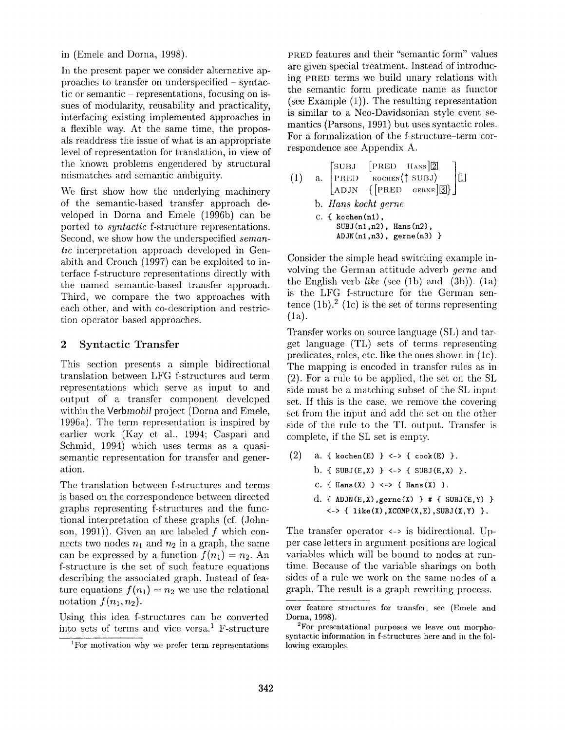in (Emele and Dorna, 1998).

In the present paper we consider alternative approaches to transfer on underspeeified - syntactic or semantic  $-$  representations, focusing on issues of modularity, reusability and practicality, interfacing existing implemented approaches in a flexible way. At the same time, the proposals readdress the issue of what is an appropriate level of representation for translation, in view of the known problems engendered by structural mismatches and semantic ambiguity.

We first show how the underlying machinery of the semantic-based transfer approach developed in Dorna and Emele (1996b) can be ported to *syntactic* f-structure representations. Second, we show how the underspecified *semantic* interpretation approach developed in Genabith and Crouch (1997) can be exploited to interface f-structure representations directly with the named semantic-based transfer approach. Third, we compare the two approaches with each other, and with co-description and restriction operator based approaches.

### 2 Syntactic Transfer

This section presents a simple bidirectional translation between LFG f-structures and term representations which serve as input to and output of a transfer component developed within the *Verbmobil* project (Dorna and Emele, 1996a). The term representation is inspired by earlier work (Kay et al., 1994; Caspari and Sehmid, 1994) which uses terms as a quasisemantic representation for transfer and generation.

The translation between f-structures and terms is based on the correspondence between directed graphs representing f-structures and the functional interpretation of these graphs (cf. (Johnson, 1991)). Given an arc labeled f which connects two nodes  $n_1$  and  $n_2$  in a graph, the same can be expressed by a function  $f(n_1) = n_2$ . An f-structure is the set of such feature equations describing the associated graph. Instead of feature equations  $f(n_1) = n_2$  we use the relational notation  $f(n_1, n_2)$ .

Using this idea f-structures can be converted into sets of terms and vice versa.<sup>1</sup> F-structure

PRED features and their "semantic form" values are given special treatment. Instead of introducing PRED terms we build unary relations with the semantic form predicate name as functor (see Example (1)). The resulting representation is similar to a Neo-Davidsonian style event semantics (Parsons, 1991) but uses syntactic roles. For a formalization of the f-structure-term correspondence see Appendix A.

(1) a. PREI) KOCHEN(j" SUB J) [ [] ADJN {[PRED GERNE]~}J *b. Hans kocht gerne*  C. { kochen(nl), SUBJ(nl,n2), Hans(n2), ADJN(nl,n3), gerne(n3) }

Consider the simple head switching example involving the German attitude adverb *gerne* and the English verb *like* (see (lb) and (3b)). (la) is the LFG f-structure for the German sentence  $(1b)$ .<sup>2</sup> (1c) is the set of terms representing (la).

Transfer works on source language (SL) and target language (TL) sets of terms representing predicates, roles, etc. like the ones shown in (lc). The mapping is encoded in transfer rules as in (2). For a rule to be applied, the set on the SL side must be a matching subset of the SL input set. If this is the case, we remove the covering set from the input and add the set on the other side of the rule to the TL output. Transfer is complete, if the SL set is empty.

(2) a. { kochen(E) } <-> {  $\text{cook}(E)$  }. b. {  $SUBJ(E, X)$  } <-> {  $SUBJ(E, X)$  }. C. {  $Hans(X)$  } <-> {  $Hans(X)$  }. d. { ADJN(E,X),  $gerne(X)$  } # { SUBJ(E,Y) }  $\leftarrow$ > { like(X), XCOMP(X, E), SUBJ(X, Y) }.

The transfer operator <-> is bidirectional. Upper case letters in argument positions are logical variables which will be bound to nodes at runtime. Because of the variable sharings on both sides of a rule we work on the same nodes of a graph. The result is a graph rewriting process.

<sup>&</sup>lt;sup>1</sup>For motivation why we prefer term representations

over feature structures for transfer, see (Emele and Dorna, 1998).

<sup>&</sup>lt;sup>2</sup>For presentational purposes we leave out morphosyntactic information in f-structures here and in the following examples.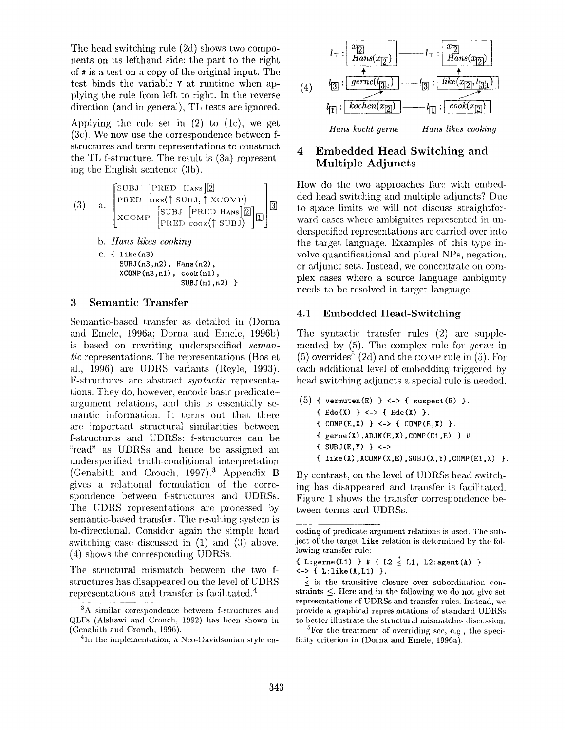The head switching rule (2d) shows two components on its lefthand side: the part to the right of # is a test on a copy of the original input. The test binds the variable Y at runtime when applying the rule from left to right. In the reverse direction (and in general), TL tests are ignored.

Applying the rule set in  $(2)$  to  $(1c)$ , we get (3c). We now use the correspondence between fstructures and term representations to construct the TL f-structure. The result is (3a) representing the English sentence (3b).

(3) a. 
$$
\begin{bmatrix} \text{SUBJ} & \text{PRED} & \text{Hans} \end{bmatrix} \begin{bmatrix} \text{B} \\ \text{PRED} & \text{LKE} \\ \text{XCOMP} & \text{SUBJ} \\ \text{XCOMP} & \text{PRED} & \text{Cook} \\ \text{PRED} & \text{Cook} \\ \text{PRED} & \text{Cook} \\ \text{D} \end{bmatrix} \begin{bmatrix} \text{BUBJ} & \text{PRED} & \text{Hans} \end{bmatrix} \begin{bmatrix} \text{B} \\ \text{B} \end{bmatrix}
$$
  
b. Hans likes cooking  
c. { like(n3)  
SUBJ(n3,n2), Hans(n2),  
XCOMP(n3,n1), cosk(n1),  
SUBJ(n1,n2)}

### **3 Semantic** Transfer

Semantic-based transfer as detailed in (Dorna and Emele, 1996a; Dorna and Emele, 1996b) is based on rewriting underspecified *semantic* representations. The representations (Bos et al., 1996) are UDRS variants (Reyle, 1993). F-structures are abstract *syntactic* representations. They do, however, encode basic predicateargument relations, and this is essentially semantic information. It turns out that there are important structural similarities between f-structures and UDRSs: f-structures can be "read" as UDRSs and hence be assigned an underspecified truth-conditional interpretation (Genabith and Crouch, 1997).<sup>3</sup> Appendix B gives a relational formulation of the correspondence between f-structures and UDRSs. The UDRS representations are processed by semantic-based transfer. The resulting system is bi-directional. Consider again the simple head switching case discussed in (1) and (3) above. (4) shows the corresponding UDRSs.

The structural mismatch between the two fstructures has disappeared on the level of UDRS representations and transfer is facilitated. 4



## **4 Embedded Head Switching and Multiple Adjuncts**

How do the two approaches fare with embedded head switching and multiple adjuncts? Due to space limits we will not discuss straightforward eases where ambiguites represented in underspecified representations are carried over into the target language. Examples of this type involve quantificational and plural NPs, negation, or adjunct sets. Instead, we concentrate on complex cases where a source language ambiguity needs to be resolved in target language.

#### **4.1 Embedded Head-Switching**

The syntactic transfer rules (2) are supplemented by (5). The complex rule for *gerne* in  $(5)$  overrides<sup>5</sup> (2d) and the COMP rule in  $(5)$ . For each additional level of embedding triggered by head switching adjuncts a special rule is needed.

(5) { vermuten(E) } <-> { suspect(E) }. { $Ede(X)$ } <-> { $Ede(X)$ }. {  $COMP(E,X)$  } <-> {  $COMP(E,X)$  }.  ${ \begin{array}{c} \text{gerne(X), ADJN(E,X),COMP(E1,E) } \end{array} }$  #  $\{ SUBJ(E, Y) \} \leq$  ${ \iota$  like(X), XCOMP(X, E), SUBJ(X, Y), COMP(E1, X) }.

By contrast, on the level of UDRSs head switching has disappeared and transfer is facilitated. Figure 1 shows the transfer correspondence between terms and UDRSs.

 ${}^{5}$ For the treatment of overriding see, e.g., the specificity criterion in (Dorna and Emele, 1996a).

 $3A$  similar corespondence between f-structures and  $QLFs$  (Alshawi and Crouch, 1992) has been shown in (Genabith and Crouch, 1996),

<sup>&</sup>lt;sup>4</sup>In the implementation, a Neo-Davidsonian style en-

coding of predicate argument relations is used. The subject of the target like relation is determined by the following transfer rule:

<sup>{</sup> L:gerne(L1) } # { L2  $\leq$  L1, L2:agent(A) } <-> { L:like(A,L1) }.

 $\leq$  is the transitive closure over subordination constraints  $\leq$ . Here and in the following we do not give set representations of UDRSs and transfer rules. Instead, we provide a graphical representations of standard UDRSs to better illustrate the structural mismatches discussion.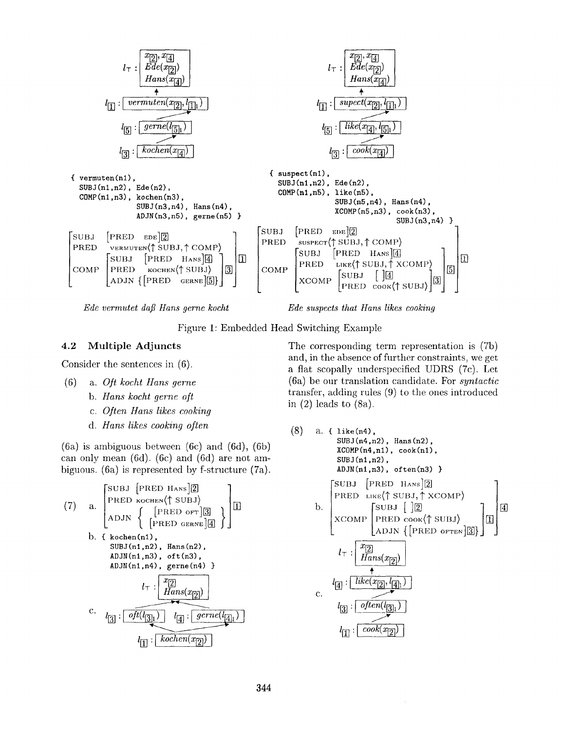

*Ede vermutet daft Hans gerne kocht Ede suspects that Hans likes cooking* 

Figure 1: Embedded Head Switching Example

#### **4.2 Multiple Adjuncts**

Consider the sentences in (6).

- (6) a. *Oft kocht Hans gerne* 
	- *b. Hans kocht gerne oft*
	- *c. Often Hans likes cooking*
	- *d. Hans likes cooking often*

(6a) is ambiguous between (6c) and (6d), (6b) can only mean (6d). (6c) and (6d) are not ambiguous. (6a) is represented by f-structure (7a).

(7) a. 
$$
\begin{bmatrix} \text{SUBJ} & \text{PRED HANS} & \text{[2]} \\ \text{PEED KochEN} & \text{SUBJ} & \text{[BRSD OF}] & \text{[3]} \\ \text{ADJN} & \text{[PRED OF]} & \text{[3]} \\ \text{b. {kohen(n1),} \\ \text{SUBJ(n1,n2), Hans(n2),} \\ \text{ADJM(n1,n3), oft(n3),} \\ \text{ADJM(n1,n4), gerne(n4)} \\ & l \text{[1]} : \frac{x_{[2]}}{\text{Hans}(x_{[2]})} \end{bmatrix}
$$
  
c. 
$$
l_{[3]} : \overbrace{oft(l_{[3]1}) \quad l_{[4]} : \overbrace{gerne(l_{[4]1})}^{grene(l_{[4]1})}
$$

The corresponding term representation is (7b) and, in the absence of further constraints, we get a flat scopally underspecified UDRS (7c). Let (6a) be our translation candidate. For *syntactic*  transfer, adding rules (9) to the ones introduced in  $(2)$  leads to  $(8a)$ .

(8) a. { like(n4),  
\nSUBJ(n4,n2), Hans(n2),  
\nXCOMP(n4,n1), 
$$
cook(n1)
$$
,  
\nSUBJ(n1,n2),  
\nADJM(n1,n3),  $often(n3)$  }\n
$$
\begin{bmatrix}\nSUBJ & [PRED HANS]2] \\
PRED & LIKE(\uparrow SUBJ, \uparrow XCOMP) \\
XCOMP & [SUBJ & [2] \\
XCOMP & PRED &  $cok(\uparrow SUBJ) \\
ADJN & [PRED \text{ or}TEN]3]\n\end{bmatrix}$ ]\n
$$
l_{\top}: \begin{bmatrix} x_{[2]} \\ Hams(x_{[2]}) \\ \hline \{Hans(x_{[2]})\end{bmatrix}
$$
\nc. \n
$$
l_{[3]}: \begin{bmatrix} \text{other}(l_{[3]1}) \\ \text{other}(l_{[3]2}) \end{bmatrix}
$$
\n
$$
l_{[1]}: \begin{bmatrix} \text{cook}(x_{[2]}) \\ \hline \end{bmatrix}
$$
$$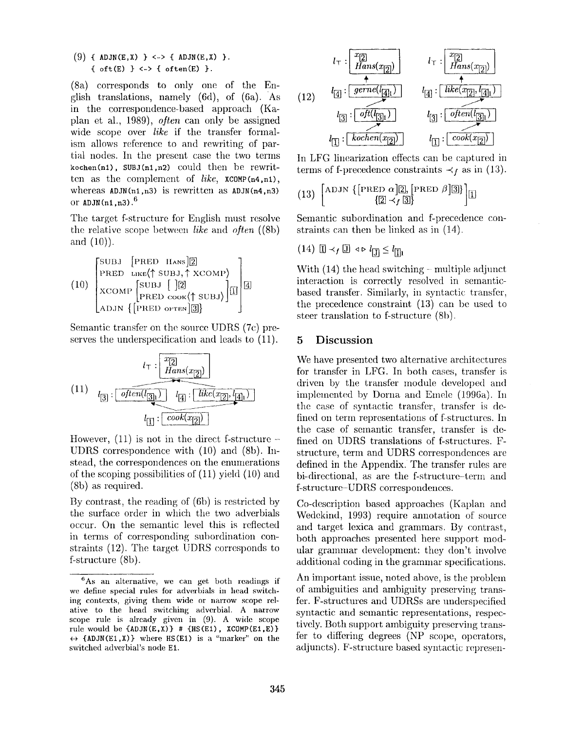(9) { ADJN(E,X) } <-> { ADJN(E,X) }. {  $oft(E)$  }  $\leftarrow$  {  $often(E)$  }.

(Sa) corresponds to only one of the English translations, namely (6d), of (6a). 'As in the correspondence-based approach (Kaplan et al., 1989), *often* can only be assigned wide scope over *like* if the transfer formalism allows reference to and rewriting of partial nodes. In the present case the two terms  $kochen(n1)$ , SUBJ $(n1, n2)$  could then be rewritten as the complement of *like,* XCOMP(n4,nl), whereas  $ADJN(n1,n3)$  is rewritten as  $ADJN(n4,n3)$ or  $ADJN(n1,n3)$ .<sup>6</sup>

The target f-structure for English must resolve the relative scope between *like* and *often* ((8b) and (10)).

$$
(10)\begin{bmatrix} \text{SUBJ} & \text{[PRED IIANS]} \boxed{2} \\ \text{PRED } & \text{like} \langle \uparrow \text{SUBJ}, \uparrow \text{XCOMP} \rangle \\ \text{XCOMP} & \text{[SUBJ} \end{bmatrix} \boxed{2} \\ \text{XCOMP} \\ \text{PRED } & \text{cov} \langle \uparrow \text{SUBJ} \rangle \boxed{1} \\ \text{ADJN } \left\{ \text{PRED } & \text{other} \boxed{3} \right\}
$$

Semantic transfer on the source UDRS (7c) preserves the underspecification and leads to (11).

$$
(11) \quad l_{\overline{3}}: \overbrace{\underbrace{\overbrace{\overbrace{\overbrace{\overbrace{\overbrace{\overline{Hans(x_{[2]})}}}}^{\overline{x_{[2]}}}}^{\overline{x_{[2]}}}}}}_{l_{\overline{[1]}}: \overbrace{\overbrace{\overbrace{\overline{like(x_{[2]},l_{\overline{[4]}})}}^{\overline{x_{[2]}}}}}}^{\overbrace{\overbrace{\overbrace{\overline{Hans(x_{[2]})}}}}^{\overline{x_{[2]}}}}}
$$

However,  $(11)$  is not in the direct f-structure -UDRS correspondence with (10) and (8b). Instead, the correspondences on the enumerations of the scoping possibilities of  $(11)$  yield  $(10)$  and (Sb) as required.

By contrast, the reading of  $(6b)$  is restricted by the surface order in which the two adverbials occur. On the semantic level this is reflected in terms of corresponding subordination constraints (12). The target UDRS corresponds to f-structure (8b).



In LFG linearization effects can be captured in terms of f-precedence constraints  $\prec_f$  as in (13).

(13) 
$$
\begin{bmatrix} \text{ADJN} \{ \text{[PRED } \alpha \} \overline{2}, \text{[PRED } \beta \} \overline{3} \} \\ \{ \overline{2} \prec_f \overline{3} \} \end{bmatrix}
$$

Semantic subordination and f-precedence constraints can then be linked as in (14).

$$
(14) \quad \boxed{\mathbb{I}} \prec_f \boxed{\mathbb{J}} \ \triangleleft \triangleright l_{\boxed{\mathbb{J}}} \leq l_{\boxed{\mathbb{I}}}
$$

With  $(14)$  the head switching - multiple adjunct interaction is correctly resolved in semanticbased transfer. Similarly, in syntactic transfer, the precedence constraint (13) can be used to steer translation to f-structure (8b).

#### **5** Discussion

We have presented two alternative architectures for transfer in LFG. In both cases, transfer is driven by the transfer module developed and implemented by Dorna and Emele (1996a). In the case of syntactic transfer, transfer is defined on term representations of f-structures. In the case of semantic transfer, transfer is defined on UDRS translations of f-structures. Fstructure, term and UDRS correspondences are defined in the Appendix. The transfer rules are bi-directional, as are the f-structure-term and f-structure-UDRS correspondences.

Co-description based approaches (Kaplan and Wedckind, 1993) require annotation of source and target lexica and grammars. By contrast, both approaches presented here support modular grammar development: they don't involve additional coding in the grammar specifications.

An important issue, noted above, is the problem of ambiguities and ambiguity preserving transfer. F-structures and UDRSs are underspecified syntactic and semantic representations, respectively. Both support ambiguity preserving transfer to differing degrees (NP scope, operators, adjuncts). F-structure based syntactic represen-

<sup>6</sup>As an alternative, we can get both readings if we define special rules for adverbials in head switching contexts, giving them wide or narrow scope relative to the head switching adverbial. A narrow scope rule is already given in (9). A wide scope rule would be  $\{ADJN(E,X)\}\# \{HS(E1), XCOMP(E1,E)\}$  $\leftrightarrow$  {ADJN(E1,X)} where HS(E1) is a "marker" on the switched adverbial's node El.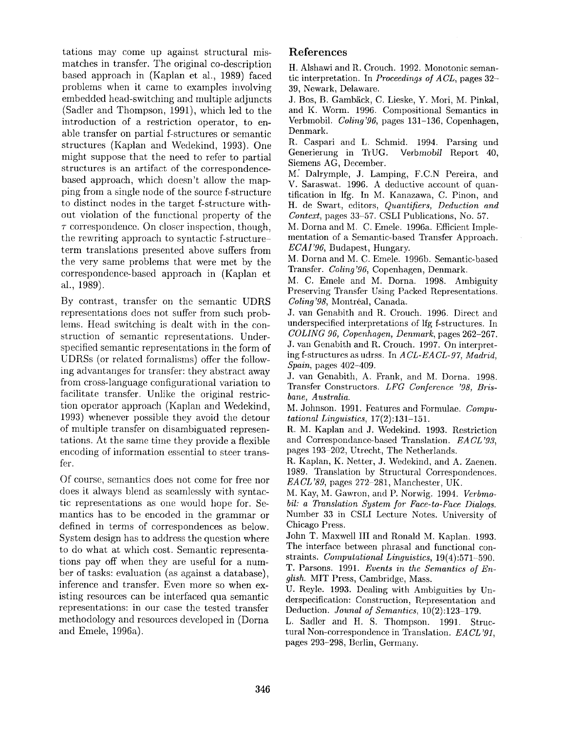tations may come up against structural mismatches in transfer. The original co-description based approach in (Kaplan et al., 1989) faced problems when it came to examples involving embedded head-switching and multiple adjuncts (Sadler and Thompson, 1991), which led to the introduction of a restriction operator, to enable transfer on partial f-structures or semantic structures (Kaplan and Wedekind, 1993). One might suppose that the need to refer to partial structures is an artifact of the correspondencebased approach, which doesn't allow the mapping from a single node of the source f-structure to distinct nodes in the target f-structure without violation of the functional property of the  $\tau$  correspondence. On closer inspection, though, the rewriting approach to syntactic f-structureterm translations presented above suffers from the very same problems that were met by the correspondence-based approach in (Kaplan et al., 1989).

By contrast, transfer on the semantic UDRS representations does not suffer from such problems. Head switching is dealt with in the construction of semantic representations. Underspecified semantic representations in the form of UDRSs (or related formalisms) offer the following advantanges for transfer: they abstract away from cross-language configurational variation to facilitate transfer. Unlike the original restriction operator approach (Kaplan and Wedekind, 1993) whenever possible they avoid the detour of multiple transfer on disambiguated representations. At the same time they provide a flexible encoding of information essential to steer transfer.

Of course, semantics does not come for free nor does it always blend as seamlessly with syntactic representations as one would hope for. Semantics has to be encoded in the grammar or defined in terms of correspondences as below. System design has to address the question where to do what at which cost. Semantic representations pay off when they are useful for a number of tasks: evaluation (as against a database), inference and transfer. Even more so when existing resources can be interfaced qua semantic representations: in our case the tested transfer methodology and resources developed in (Dorna and Emele, 1996a).

# **References**

H. Alshawi and R. Crouch. 1992. Monotonic semantic interpretation. In *Proceedings of ACL,* pages 32- 39, Newark, Delaware.

J. Bos, B. Gambäck, C. Lieske, Y. Mori, M. Pinkal, and K. Worm. 1996. Compositional Semantics in Verbmobil. *Coling'96,* pages 131-136, Copenhagen, Denmark.

R. Caspari and L. Schmid. 1994. Parsing und Generierung in TrUG. *Verbmobil* Report 40, Siemens AG, December.

M: Dalrymple, J. Lamping, F.C.N Pereira, and V. Saraswat. 1996. A deductive account of quantification in lfg. In M. Kanazawa, C. Pinon, and H. de Swart, editors, *Quantifiers, Deduction and Context,* pages 33-57. CSLI Publications, No. 57.

M. Dorna and M. C. Emele. 1996a. Efficient Implementation of a Semantic-based Transfer Approach. *ECAI'96,* Budapest, Hungary.

M. Dorna and M. C. Emele. 1996b. Semantic-based Transfer. *Coiin9'96,* Copenhagen, Denmark.

M. C. Emele and M. Dorna. 1998. Ambiguity Preserving Transfer Using Packed Representations. *Coling'98, Montréal, Canada.* 

J. van Genabith and R. Crouch. 1996. Direct and underspecified interpretations of lfg f-structures. In *COLING 96, Copenhagen, Denmark,* pages 262-267. J. van Genabith and R. Crouch. 1997. On interpreting f-structures as udrss. In *A CL-EA CL-97, Madrid, Spain,* pages 402-409.

J. van Genabith, A. Frank, and M. Dorna. 1998. Transfer Constructors. *LFG Conference '98, Brisbane, Australia.* 

M. Johnson. 1991. Features and Formulae. *Computational Linguistics,* 17(2):131-151.

R. M. Kaplan and J. Wedekind. 1993. Restriction and Correspondance-based Translation. *EACL'93,*  pages 193-202, Utrecht, The Netherlands.

R. Kaplan, K. Netter, J. Wedekind, and A. Zaenen. 1989. Translation by Structural Correspondences. *EACL'89,* pages 272-281, Manchester, UK.

*M.* Kay, M. Gawron, and P. Norwig. 1994. *Verbmobil: a Translation System for Face-to-Face Dialogs.*  Number 33 in CSLI Lecture Notes. University of Chicago Press.

John T. Maxwell III and Ronald M. Kaplan. 1993. The interface between phrasal and functional constraints. *Computational Linguistics,* 19(4):571-590.

T. Parsons. 1991. *Events in the Semantics of English.* MIT Press, Cambridge, Mass.

U. Reyle. 1993. Dealing with Ambiguities by Underspecification: Construction, Representation and Deduction. *Jounal of Semantics,* 10(2):123-179.

L. Sadler and H. S. Thompson. 1991. Structural Non-correspondence in Translation. *EACL'91,*  pages 293-298, Berlin, Germany.